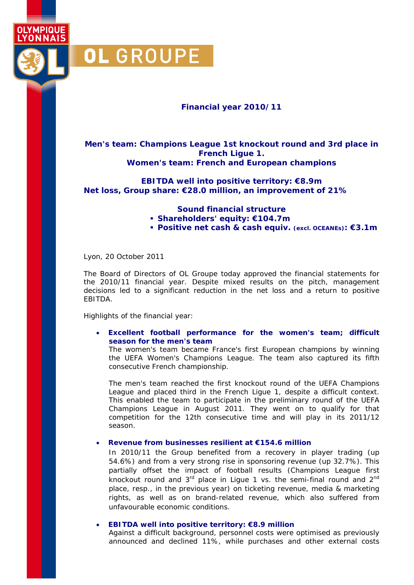

OI YMPIOUF

## **Financial year 2010/11**

**Men's team: Champions League 1st knockout round and 3rd place in French Ligue 1. Women's team: French and European champions** 

**EBITDA well into positive territory: €8.9m Net loss, Group share: €28.0 million, an improvement of 21%** 

## **Sound financial structure**

- **Shareholders' equity: €104.7m**
- **Positive net cash & cash equiv. (excl. OCEANEs): €3.1m**

Lyon, 20 October 2011

The Board of Directors of OL Groupe today approved the financial statements for the 2010/11 financial year. Despite mixed results on the pitch, management decisions led to a significant reduction in the net loss and a return to positive EBITDA.

Highlights of the financial year:

### • **Excellent football performance for the women's team; difficult season for the men's team**

The women's team became France's first European champions by winning the UEFA Women's Champions League. The team also captured its fifth consecutive French championship.

The men's team reached the first knockout round of the UEFA Champions League and placed third in the French Ligue 1, despite a difficult context. This enabled the team to participate in the preliminary round of the UEFA Champions League in August 2011. They went on to qualify for that competition for the 12th consecutive time and will play in its 2011/12 season.

### • **Revenue from businesses resilient at €154.6 million**

In 2010/11 the Group benefited from a recovery in player trading (up 54.6%) and from a very strong rise in sponsoring revenue (up 32.7%). This partially offset the impact of football results (Champions League first knockout round and  $3<sup>rd</sup>$  place in Ligue 1 vs. the semi-final round and  $2<sup>nd</sup>$ place, resp., in the previous year) on ticketing revenue, media & marketing rights, as well as on brand-related revenue, which also suffered from unfavourable economic conditions.

### • **EBITDA well into positive territory: €8.9 million**

Against a difficult background, personnel costs were optimised as previously announced and declined 11%, while purchases and other external costs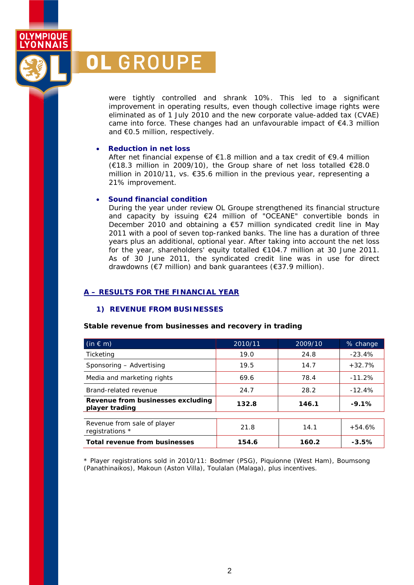were tightly controlled and shrank 10%. This led to a significant improvement in operating results, even though collective image rights were eliminated as of 1 July 2010 and the new corporate value-added tax (CVAE) came into force. These changes had an unfavourable impact of €4.3 million and €0.5 million, respectively.

### • **Reduction in net loss**

**OL GROUPE** 

**OLYMPIQUE YONNAIS** 

> After net financial expense of €1.8 million and a tax credit of €9.4 million (€18.3 million in 2009/10), the Group share of net loss totalled €28.0 million in 2010/11, vs. €35.6 million in the previous year, representing a 21% improvement.

### • **Sound financial condition**

During the year under review OL Groupe strengthened its financial structure and capacity by issuing €24 million of "OCEANE" convertible bonds in December 2010 and obtaining a €57 million syndicated credit line in May 2011 with a pool of seven top-ranked banks. The line has a duration of three years plus an additional, optional year. After taking into account the net loss for the year, shareholders' equity totalled €104.7 million at 30 June 2011. As of 30 June 2011, the syndicated credit line was in use for direct drawdowns (€7 million) and bank guarantees (€37.9 million).

### **A – RESULTS FOR THE FINANCIAL YEAR**

### **1) REVENUE FROM BUSINESSES**

### *Stable revenue from businesses and recovery in trading*

| $(in \in m)$                                        | 2010/11 | 2009/10 | % change |
|-----------------------------------------------------|---------|---------|----------|
| Ticketing                                           | 19.0    | 24.8    | $-23.4%$ |
| Sponsoring - Advertising                            | 19.5    | 14.7    | $+32.7%$ |
| Media and marketing rights                          | 69.6    | 78.4    | $-11.2%$ |
| Brand-related revenue                               | 24.7    | 28.2    | $-12.4%$ |
| Revenue from businesses excluding<br>player trading | 132.8   | 146.1   | $-9.1%$  |
|                                                     |         |         |          |
| Revenue from sale of player<br>registrations *      | 21.8    | 14.1    | $+54.6%$ |
| <b>Total revenue from businesses</b>                | 154.6   | 160.2   | $-3.5%$  |

*\* Player registrations sold in 2010/11: Bodmer (PSG), Piquionne (West Ham), Boumsong (Panathinaikos), Makoun (Aston Villa), Toulalan (Malaga), plus incentives.*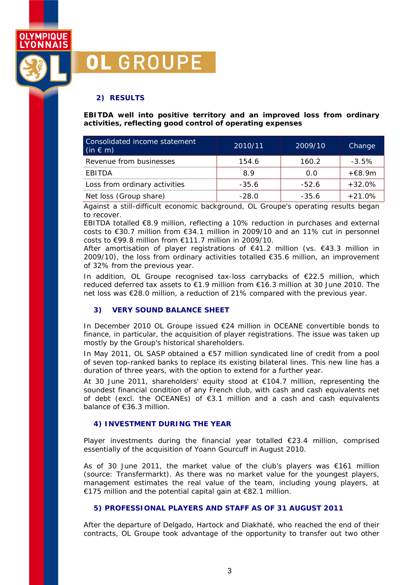

# **OL GROUPE**

## **2) RESULTS**

*EBITDA well into positive territory and an improved loss from ordinary activities, reflecting good control of operating expenses* 

| Consolidated income statement<br>$(in \in m)$ | 2010/11 | 2009/10 | Change   |
|-----------------------------------------------|---------|---------|----------|
| Revenue from businesses                       | 154.6   | 160.2   | $-3.5%$  |
| EBITDA                                        | 8.9     | 0.0     | +€8.9m   |
| Loss from ordinary activities                 | $-35.6$ | $-52.6$ | $+32.0%$ |
| Net loss (Group share)                        | $-28.0$ | $-35.6$ | $+21.0%$ |

Against a still-difficult economic background, OL Groupe's operating results began to recover.

EBITDA totalled €8.9 million, reflecting a 10% reduction in purchases and external costs to €30.7 million from €34.1 million in 2009/10 and an 11% cut in personnel costs to  $\epsilon$ 99.8 million from  $\epsilon$ 111.7 million in 2009/10.

After amortisation of player registrations of  $\epsilon$ 41.2 million (vs.  $\epsilon$ 43.3 million in 2009/10), the loss from ordinary activities totalled  $\epsilon$ 35.6 million, an improvement of 32% from the previous year.

In addition, OL Groupe recognised tax-loss carrybacks of €22.5 million, which reduced deferred tax assets to €1.9 million from €16.3 million at 30 June 2010. The net loss was €28.0 million, a reduction of 21% compared with the previous year.

## **3) VERY SOUND BALANCE SHEET**

In December 2010 OL Groupe issued €24 million in OCEANE convertible bonds to finance, in particular, the acquisition of player registrations. The issue was taken up mostly by the Group's historical shareholders.

In May 2011, OL SASP obtained a €57 million syndicated line of credit from a pool of seven top-ranked banks to replace its existing bilateral lines. This new line has a duration of three years, with the option to extend for a further year.

At 30 June 2011, shareholders' equity stood at  $\epsilon$ 104.7 million, representing the soundest financial condition of any French club, with cash and cash equivalents net of debt (excl. the OCEANEs) of €3.1 million and a cash and cash equivalents balance of €36.3 million.

## **4) INVESTMENT DURING THE YEAR**

Player investments during the financial year totalled €23.4 million, comprised essentially of the acquisition of Yoann Gourcuff in August 2010.

As of 30 June 2011, the market value of the club's players was  $\epsilon$ 161 million (source: Transfermarkt). As there was no market value for the youngest players, management estimates the real value of the team, including young players, at €175 million and the potential capital gain at €82.1 million.

## **5) PROFESSIONAL PLAYERS AND STAFF AS OF 31 AUGUST 2011**

After the departure of Delgado, Hartock and Diakhaté, who reached the end of their contracts, OL Groupe took advantage of the opportunity to transfer out two other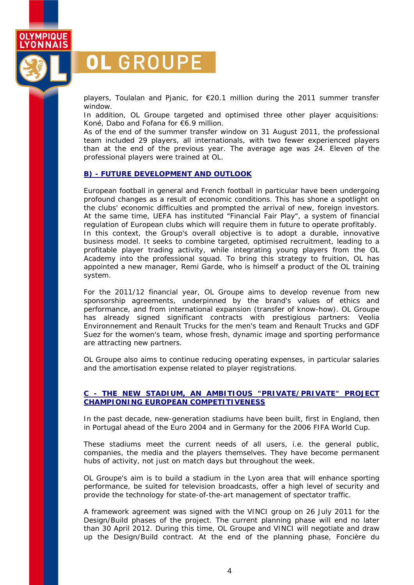

# OL GROUPE

players, Toulalan and Pjanic, for €20.1 million during the 2011 summer transfer window.

In addition, OL Groupe targeted and optimised three other player acquisitions: Koné, Dabo and Fofana for €6.9 million.

As of the end of the summer transfer window on 31 August 2011, the professional team included 29 players, all internationals, with two fewer experienced players than at the end of the previous year. The average age was 24. Eleven of the professional players were trained at OL.

### **B) - FUTURE DEVELOPMENT AND OUTLOOK**

European football in general and French football in particular have been undergoing profound changes as a result of economic conditions. This has shone a spotlight on the clubs' economic difficulties and prompted the arrival of new, foreign investors. At the same time, UEFA has instituted "Financial Fair Play", a system of financial regulation of European clubs which will require them in future to operate profitably. In this context, the Group's overall objective is to adopt a durable, innovative business model. It seeks to combine targeted, optimised recruitment, leading to a profitable player trading activity, while integrating young players from the OL Academy into the professional squad. To bring this strategy to fruition, OL has appointed a new manager, Remi Garde, who is himself a product of the OL training system.

For the 2011/12 financial year, OL Groupe aims to develop revenue from new sponsorship agreements, underpinned by the brand's values of ethics and performance, and from international expansion (transfer of know-how). OL Groupe has already signed significant contracts with prestigious partners: Veolia Environnement and Renault Trucks for the men's team and Renault Trucks and GDF Suez for the women's team, whose fresh, dynamic image and sporting performance are attracting new partners.

OL Groupe also aims to continue reducing operating expenses, in particular salaries and the amortisation expense related to player registrations.

### **C - THE NEW STADIUM, AN AMBITIOUS "PRIVATE/PRIVATE" PROJECT CHAMPIONING EUROPEAN COMPETITIVENESS**

In the past decade, new-generation stadiums have been built, first in England, then in Portugal ahead of the Euro 2004 and in Germany for the 2006 FIFA World Cup.

These stadiums meet the current needs of all users, i.e. the general public, companies, the media and the players themselves. They have become permanent hubs of activity, not just on match days but throughout the week.

OL Groupe's aim is to build a stadium in the Lyon area that will enhance sporting performance, be suited for television broadcasts, offer a high level of security and provide the technology for state-of-the-art management of spectator traffic.

A framework agreement was signed with the VINCI group on 26 July 2011 for the Design/Build phases of the project. The current planning phase will end no later than 30 April 2012. During this time, OL Groupe and VINCI will negotiate and draw up the Design/Build contract. At the end of the planning phase, Foncière du